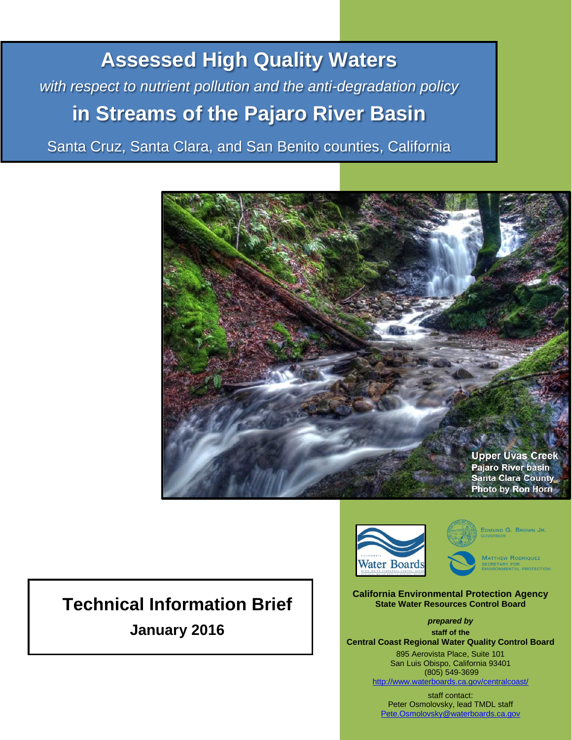**Assessed High Quality Waters** *with respect to nutrient pollution and the anti-degradation policy* **in Streams of the Pajaro River Basin**

Santa Cruz, Santa Clara, and San Benito counties, California



# **Technical Information Brief January 2016**



EDMUND G. BROWN JR.

MATTHEW RODRIQUEZ ECRETARY FOR<br>NVIRONMENTAL PROTECTION

**California Environmental Protection Agency State Water Resources Control Board**

*prepared by* **staff of the Central Coast Regional Water Quality Control Board**

895 Aerovista Place, Suite 101 San Luis Obispo, California 93401 (805) 549-3699 <http://www.waterboards.ca.gov/centralcoast/>

staff contact: Peter Osmolovsky, lead TMDL staff [Pete.Osmolovsky@waterboards.ca.gov](mailto:Pete.Osmolovsky@waterboards.ca.gov)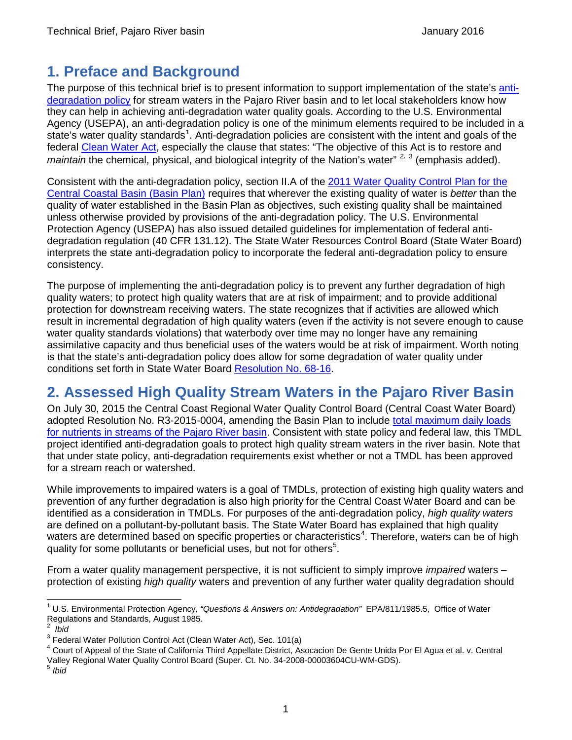## **1. Preface and Background**

The purpose of this technical brief is to present information to support implementation of the state's [anti](http://www.waterboards.ca.gov/board_decisions/adopted_orders/resolutions/1968/rs68_016.pdf)[degradation policy](http://www.waterboards.ca.gov/board_decisions/adopted_orders/resolutions/1968/rs68_016.pdf) for stream waters in the Pajaro River basin and to let local stakeholders know how they can help in achieving anti-degradation water quality goals. According to the U.S. Environmental Agency (USEPA), an anti-degradation policy is one of the minimum elements required to be included in a state's water quality standards<sup>[1](#page-1-0)</sup>. Anti-degradation policies are consistent with the intent and goals of the federal [Clean Water Act,](http://www3.epa.gov/npdes/pubs/cwatxt.txt) especially the clause that states: "The objective of this Act is to restore and *maintain* the chemical, physical, and biological integrity of the Nation's water" *[2](#page-1-1),* [3](#page-1-2) (emphasis added).

Consistent with the anti-degradation policy, section II.A of the [2011 Water Quality Control Plan for the](http://www.waterboards.ca.gov/centralcoast/publications_forms/publications/basin_plan/docs/basin_plan_2011.pdf)  [Central Coastal Basin \(Basin Plan\)](http://www.waterboards.ca.gov/centralcoast/publications_forms/publications/basin_plan/docs/basin_plan_2011.pdf) requires that wherever the existing quality of water is *better* than the quality of water established in the Basin Plan as objectives, such existing quality shall be maintained unless otherwise provided by provisions of the anti-degradation policy. The U.S. Environmental Protection Agency (USEPA) has also issued detailed guidelines for implementation of federal antidegradation regulation (40 CFR 131.12). The State Water Resources Control Board (State Water Board) interprets the state anti-degradation policy to incorporate the federal anti-degradation policy to ensure consistency.

The purpose of implementing the anti-degradation policy is to prevent any further degradation of high quality waters; to protect high quality waters that are at risk of impairment; and to provide additional protection for downstream receiving waters. The state recognizes that if activities are allowed which result in incremental degradation of high quality waters (even if the activity is not severe enough to cause water quality standards violations) that waterbody over time may no longer have any remaining assimilative capacity and thus beneficial uses of the waters would be at risk of impairment. Worth noting is that the state's anti-degradation policy does allow for some degradation of water quality under conditions set forth in State Water Board [Resolution No. 68-16.](http://www.waterboards.ca.gov/board_decisions/adopted_orders/resolutions/1968/rs68_016.pdf)

## **2. Assessed High Quality Stream Waters in the Pajaro River Basin**

On July 30, 2015 the Central Coast Regional Water Quality Control Board (Central Coast Water Board) adopted Resolution No. R3-2015-0004, amending the Basin Plan to include [total maximum daily loads](http://www.waterboards.ca.gov/centralcoast/water_issues/programs/tmdl/docs/pajaro/nutrients/index.shtml)  [for nutrients in streams of the Pajaro River basin.](http://www.waterboards.ca.gov/centralcoast/water_issues/programs/tmdl/docs/pajaro/nutrients/index.shtml) Consistent with state policy and federal law, this TMDL project identified anti-degradation goals to protect high quality stream waters in the river basin. Note that that under state policy, anti-degradation requirements exist whether or not a TMDL has been approved for a stream reach or watershed.

While improvements to impaired waters is a goal of TMDLs, protection of existing high quality waters and prevention of any further degradation is also high priority for the Central Coast Water Board and can be identified as a consideration in TMDLs. For purposes of the anti-degradation policy, *high quality waters* are defined on a pollutant-by-pollutant basis. The State Water Board has explained that high quality waters are determined based on specific properties or characteristics<sup>[4](#page-1-3)</sup>. Therefore, waters can be of high quality for some pollutants or beneficial uses, but not for others<sup>[5](#page-1-4)</sup>.

From a water quality management perspective, it is not sufficient to simply improve *impaired* waters – protection of existing *high quality* waters and prevention of any further water quality degradation should

<span id="page-1-0"></span> <sup>1</sup> U.S. Environmental Protection Agency*, "Questions & Answers on: Antidegradation"* EPA/811/1985.5, Office of Water Regulations and Standards, August 1985. <sup>2</sup>

<span id="page-1-1"></span><sup>&</sup>lt;sup>2</sup> *Ibid*<br><sup>3</sup> Federal Water Pollution Control Act (Clean Water Act), Sec. 101(a)

<span id="page-1-3"></span><span id="page-1-2"></span> $4$  Court of Appeal of the State of California Third Appellate District, Asocacion De Gente Unida Por El Aqua et al. v. Central Valley Regional Water Quality Control Board (Super. Ct. No. 34-2008-00003604CU-WM-GDS). <sup>5</sup> *Ibid*

<span id="page-1-4"></span>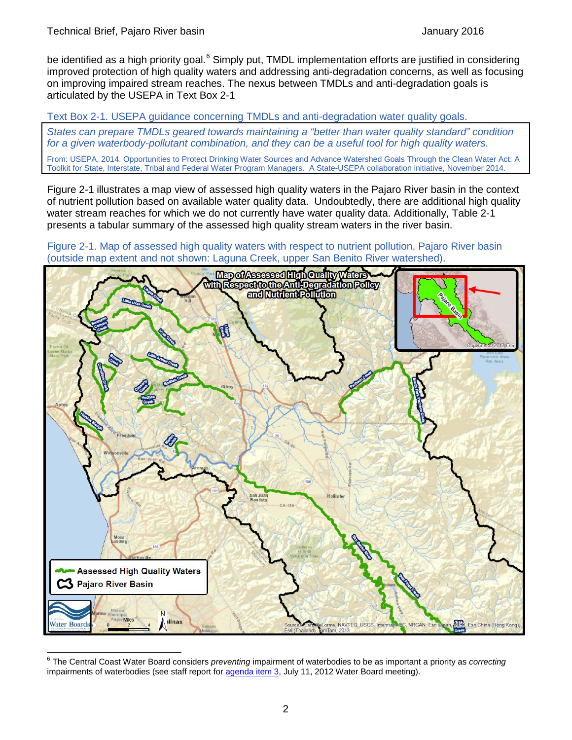be identified as a high priority goal.<sup>[6](#page-2-2)</sup> Simply put, TMDL implementation efforts are justified in considering improved protection of high quality waters and addressing anti-degradation concerns, as well as focusing on improving impaired stream reaches. The nexus between TMDLs and anti-degradation goals is articulated by the USEPA in [Text Box 2-1](#page-2-0)

<span id="page-2-0"></span>Text Box 2-1. USEPA guidance concerning TMDLs and anti-degradation water quality goals.

*States can prepare TMDLs geared towards maintaining a "better than water quality standard" condition for a given waterbody-pollutant combination, and they can be a useful tool for high quality waters.*

From: USEPA, 2014. Opportunities to Protect Drinking Water Sources and Advance Watershed Goals Through the Clean Water Act: A Toolkit for State, Interstate, Tribal and Federal Water Program Managers. A State-USEPA collaboration initiative, November 2014.

[Figure 2-1](#page-2-1) illustrates a map view of assessed high quality waters in the Pajaro River basin in the context of nutrient pollution based on available water quality data. Undoubtedly, there are additional high quality water stream reaches for which we do not currently have water quality data. Additionally, [Table 2-1](#page-3-0) presents a tabular summary of the assessed high quality stream waters in the river basin.

<span id="page-2-1"></span>Figure 2-1. Map of assessed high quality waters with respect to nutrient pollution, Pajaro River basin (outside map extent and not shown: Laguna Creek, upper San Benito River watershed).



<span id="page-2-2"></span> <sup>6</sup> The Central Coast Water Board considers *preventing* impairment of waterbodies to be as important a priority as *correcting* impairments of waterbodies (see staff report fo[r agenda item 3,](http://www.waterboards.ca.gov/centralcoast/board_info/agendas/2012/July/July_11_Items/Item_3/3_stfrpt.pdf) July 11, 2012 Water Board meeting).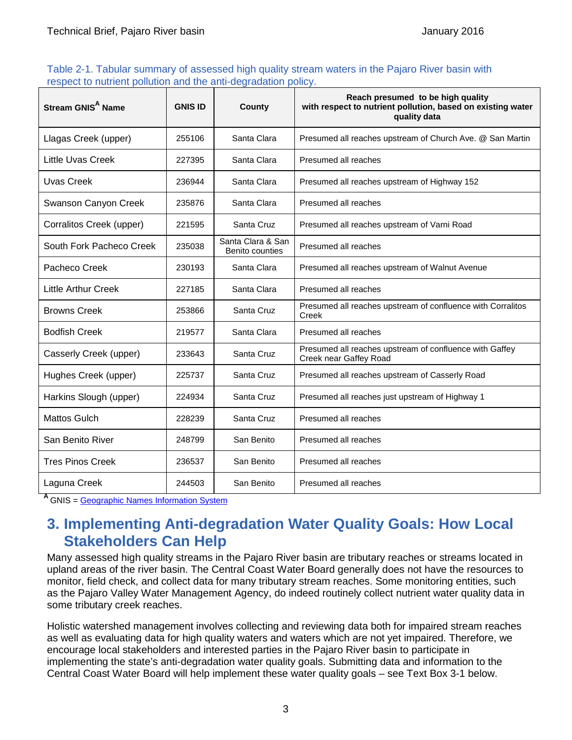#### <span id="page-3-0"></span>Table 2-1. Tabular summary of assessed high quality stream waters in the Pajaro River basin with respect to nutrient pollution and the anti-degradation policy.

| Stream GNIS <sup>A</sup> Name | <b>GNIS ID</b> | County                               | Reach presumed to be high quality<br>with respect to nutrient pollution, based on existing water<br>quality data |
|-------------------------------|----------------|--------------------------------------|------------------------------------------------------------------------------------------------------------------|
| Llagas Creek (upper)          | 255106         | Santa Clara                          | Presumed all reaches upstream of Church Ave. @ San Martin                                                        |
| <b>Little Uvas Creek</b>      | 227395         | Santa Clara                          | Presumed all reaches                                                                                             |
| <b>Uvas Creek</b>             | 236944         | Santa Clara                          | Presumed all reaches upstream of Highway 152                                                                     |
| Swanson Canyon Creek          | 235876         | Santa Clara                          | Presumed all reaches                                                                                             |
| Corralitos Creek (upper)      | 221595         | Santa Cruz                           | Presumed all reaches upstream of Varni Road                                                                      |
| South Fork Pacheco Creek      | 235038         | Santa Clara & San<br>Benito counties | Presumed all reaches                                                                                             |
| Pacheco Creek                 | 230193         | Santa Clara                          | Presumed all reaches upstream of Walnut Avenue                                                                   |
| Little Arthur Creek           | 227185         | Santa Clara                          | Presumed all reaches                                                                                             |
| <b>Browns Creek</b>           | 253866         | Santa Cruz                           | Presumed all reaches upstream of confluence with Corralitos<br>Creek                                             |
| <b>Bodfish Creek</b>          | 219577         | Santa Clara                          | Presumed all reaches                                                                                             |
| Casserly Creek (upper)        | 233643         | Santa Cruz                           | Presumed all reaches upstream of confluence with Gaffey<br>Creek near Gaffey Road                                |
| Hughes Creek (upper)          | 225737         | Santa Cruz                           | Presumed all reaches upstream of Casserly Road                                                                   |
| Harkins Slough (upper)        | 224934         | Santa Cruz                           | Presumed all reaches just upstream of Highway 1                                                                  |
| Mattos Gulch                  | 228239         | Santa Cruz                           | Presumed all reaches                                                                                             |
| San Benito River              | 248799         | San Benito                           | Presumed all reaches                                                                                             |
| <b>Tres Pinos Creek</b>       | 236537         | San Benito                           | Presumed all reaches                                                                                             |
| Laguna Creek                  | 244503         | San Benito                           | Presumed all reaches                                                                                             |

**<sup>A</sup>** GNIS = [Geographic Names Information System](http://geonames.usgs.gov/)

#### **3. Implementing Anti-degradation Water Quality Goals: How Local Stakeholders Can Help**

Many assessed high quality streams in the Pajaro River basin are tributary reaches or streams located in upland areas of the river basin. The Central Coast Water Board generally does not have the resources to monitor, field check, and collect data for many tributary stream reaches. Some monitoring entities, such as the Pajaro Valley Water Management Agency, do indeed routinely collect nutrient water quality data in some tributary creek reaches.

Holistic watershed management involves collecting and reviewing data both for impaired stream reaches as well as evaluating data for high quality waters and waters which are not yet impaired. Therefore, we encourage local stakeholders and interested parties in the Pajaro River basin to participate in implementing the state's anti-degradation water quality goals. Submitting data and information to the Central Coast Water Board will help implement these water quality goals – see [Text Box 3-1](#page-4-0) below.